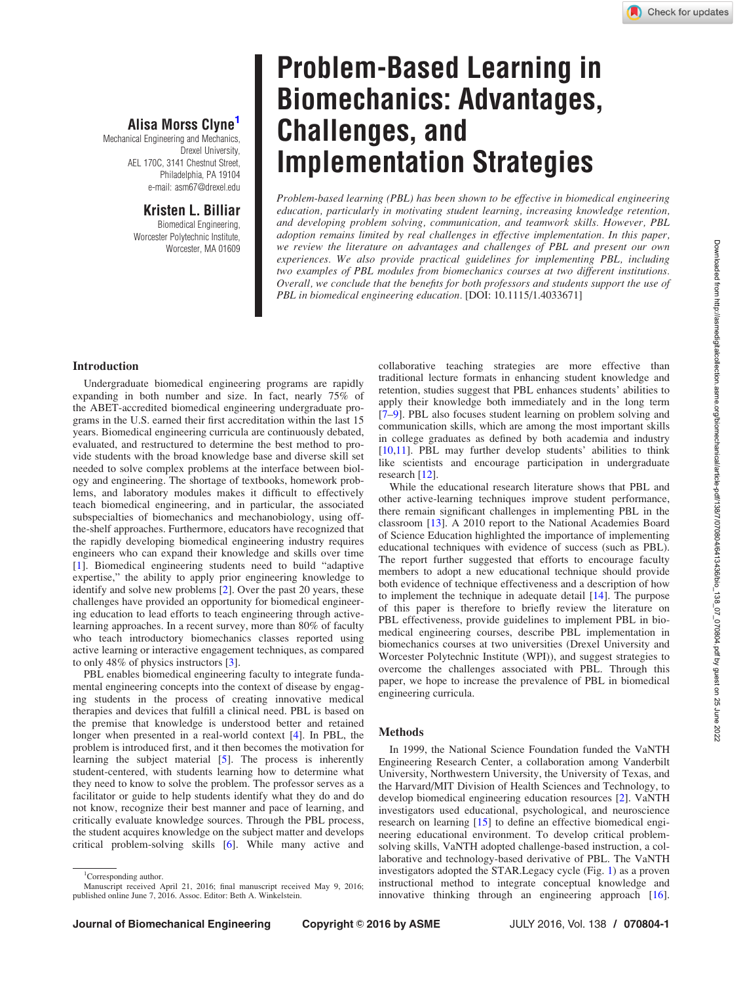# Alisa Morss Clyne<sup>1</sup>

Mechanical Engineering and Mechanics, Drexel University, AEL 170C, 3141 Chestnut Street, Philadelphia, PA 19104 e-mail: asm67@drexel.edu

# Kristen L. Billiar

Biomedical Engineering, Worcester Polytechnic Institute, Worcester, MA 01609

# Problem-Based Learning in Biomechanics: Advantages, Challenges, and Implementation Strategies

Problem-based learning (PBL) has been shown to be effective in biomedical engineering education, particularly in motivating student learning, increasing knowledge retention, and developing problem solving, communication, and teamwork skills. However, PBL adoption remains limited by real challenges in effective implementation. In this paper, we review the literature on advantages and challenges of PBL and present our own experiences. We also provide practical guidelines for implementing PBL, including two examples of PBL modules from biomechanics courses at two different institutions. Overall, we conclude that the benefits for both professors and students support the use of PBL in biomedical engineering education. [DOI: 10.1115/1.4033671]

# Introduction

Undergraduate biomedical engineering programs are rapidly expanding in both number and size. In fact, nearly 75% of the ABET-accredited biomedical engineering undergraduate programs in the U.S. earned their first accreditation within the last 15 years. Biomedical engineering curricula are continuously debated, evaluated, and restructured to determine the best method to provide students with the broad knowledge base and diverse skill set needed to solve complex problems at the interface between biology and engineering. The shortage of textbooks, homework problems, and laboratory modules makes it difficult to effectively teach biomedical engineering, and in particular, the associated subspecialties of biomechanics and mechanobiology, using offthe-shelf approaches. Furthermore, educators have recognized that the rapidly developing biomedical engineering industry requires engineers who can expand their knowledge and skills over time [[1\]](#page-8-0). Biomedical engineering students need to build "adaptive expertise," the ability to apply prior engineering knowledge to identify and solve new problems [[2](#page-8-0)]. Over the past 20 years, these challenges have provided an opportunity for biomedical engineering education to lead efforts to teach engineering through activelearning approaches. In a recent survey, more than 80% of faculty who teach introductory biomechanics classes reported using active learning or interactive engagement techniques, as compared to only 48% of physics instructors [[3](#page-8-0)].

PBL enables biomedical engineering faculty to integrate fundamental engineering concepts into the context of disease by engaging students in the process of creating innovative medical therapies and devices that fulfill a clinical need. PBL is based on the premise that knowledge is understood better and retained longer when presented in a real-world context [[4](#page-8-0)]. In PBL, the problem is introduced first, and it then becomes the motivation for learning the subject material [[5](#page-8-0)]. The process is inherently student-centered, with students learning how to determine what they need to know to solve the problem. The professor serves as a facilitator or guide to help students identify what they do and do not know, recognize their best manner and pace of learning, and critically evaluate knowledge sources. Through the PBL process, the student acquires knowledge on the subject matter and develops critical problem-solving skills [[6](#page-8-0)]. While many active and

traditional lecture formats in enhancing student knowledge and retention, studies suggest that PBL enhances students' abilities to apply their knowledge both immediately and in the long term [[7–9](#page-8-0)]. PBL also focuses student learning on problem solving and communication skills, which are among the most important skills in college graduates as defined by both academia and industry [[10,11](#page-8-0)]. PBL may further develop students' abilities to think like scientists and encourage participation in undergraduate research [\[12](#page-8-0)]. While the educational research literature shows that PBL and

collaborative teaching strategies are more effective than

other active-learning techniques improve student performance, there remain significant challenges in implementing PBL in the classroom [[13\]](#page-8-0). A 2010 report to the National Academies Board of Science Education highlighted the importance of implementing educational techniques with evidence of success (such as PBL). The report further suggested that efforts to encourage faculty members to adopt a new educational technique should provide both evidence of technique effectiveness and a description of how to implement the technique in adequate detail [[14\]](#page-8-0). The purpose of this paper is therefore to briefly review the literature on PBL effectiveness, provide guidelines to implement PBL in biomedical engineering courses, describe PBL implementation in biomechanics courses at two universities (Drexel University and Worcester Polytechnic Institute (WPI)), and suggest strategies to overcome the challenges associated with PBL. Through this paper, we hope to increase the prevalence of PBL in biomedical engineering curricula.

# Methods

In 1999, the National Science Foundation funded the VaNTH Engineering Research Center, a collaboration among Vanderbilt University, Northwestern University, the University of Texas, and the Harvard/MIT Division of Health Sciences and Technology, to develop biomedical engineering education resources [\[2\]](#page-8-0). VaNTH investigators used educational, psychological, and neuroscience research on learning [\[15](#page-8-0)] to define an effective biomedical engineering educational environment. To develop critical problemsolving skills, VaNTH adopted challenge-based instruction, a collaborative and technology-based derivative of PBL. The VaNTH investigators adopted the STAR.Legacy cycle (Fig. [1](#page-1-0)) as a proven instructional method to integrate conceptual knowledge and innovative thinking through an engineering approach [[16\]](#page-8-0).

<sup>&</sup>lt;sup>1</sup>Corresponding author.

Manuscript received April 21, 2016; final manuscript received May 9, 2016; published online June 7, 2016. Assoc. Editor: Beth A. Winkelstein.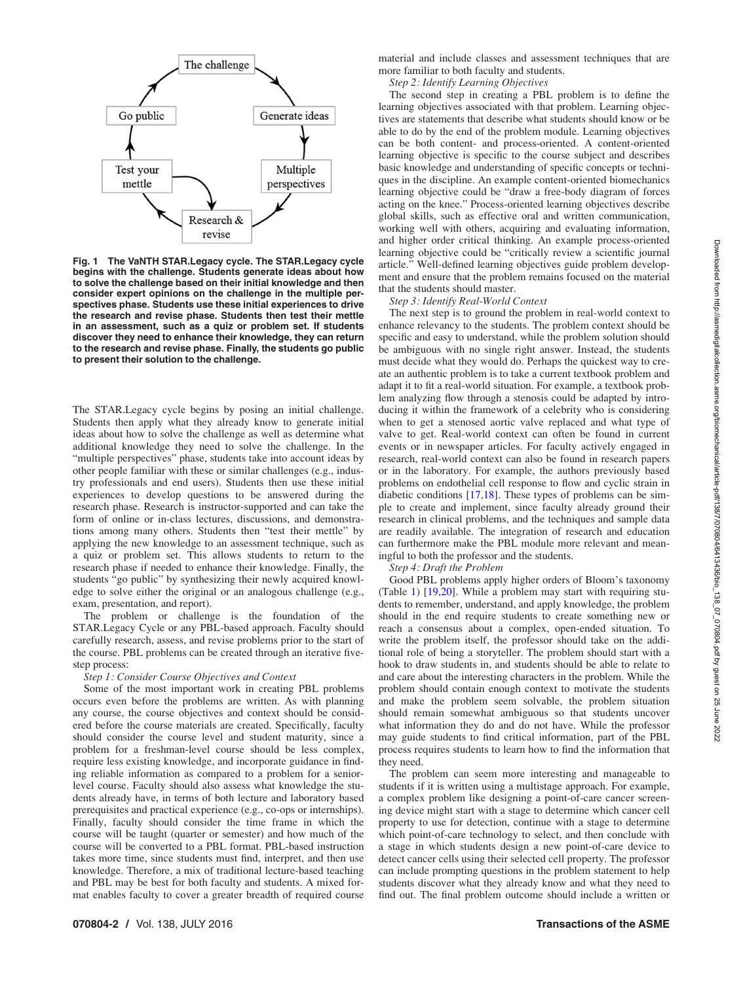<span id="page-1-0"></span>

Fig. 1 The VaNTH STAR.Legacy cycle. The STAR.Legacy cycle begins with the challenge. Students generate ideas about how to solve the challenge based on their initial knowledge and then consider expert opinions on the challenge in the multiple perspectives phase. Students use these initial experiences to drive the research and revise phase. Students then test their mettle in an assessment, such as a quiz or problem set. If students discover they need to enhance their knowledge, they can return to the research and revise phase. Finally, the students go public to present their solution to the challenge.

The STAR.Legacy cycle begins by posing an initial challenge. Students then apply what they already know to generate initial ideas about how to solve the challenge as well as determine what additional knowledge they need to solve the challenge. In the "multiple perspectives" phase, students take into account ideas by other people familiar with these or similar challenges (e.g., industry professionals and end users). Students then use these initial experiences to develop questions to be answered during the research phase. Research is instructor-supported and can take the form of online or in-class lectures, discussions, and demonstrations among many others. Students then "test their mettle" by applying the new knowledge to an assessment technique, such as a quiz or problem set. This allows students to return to the research phase if needed to enhance their knowledge. Finally, the students "go public" by synthesizing their newly acquired knowledge to solve either the original or an analogous challenge (e.g., exam, presentation, and report).

The problem or challenge is the foundation of the STAR.Legacy Cycle or any PBL-based approach. Faculty should carefully research, assess, and revise problems prior to the start of the course. PBL problems can be created through an iterative fivestep process:

### Step 1: Consider Course Objectives and Context

Some of the most important work in creating PBL problems occurs even before the problems are written. As with planning any course, the course objectives and context should be considered before the course materials are created. Specifically, faculty should consider the course level and student maturity, since a problem for a freshman-level course should be less complex, require less existing knowledge, and incorporate guidance in finding reliable information as compared to a problem for a seniorlevel course. Faculty should also assess what knowledge the students already have, in terms of both lecture and laboratory based prerequisites and practical experience (e.g., co-ops or internships). Finally, faculty should consider the time frame in which the course will be taught (quarter or semester) and how much of the course will be converted to a PBL format. PBL-based instruction takes more time, since students must find, interpret, and then use knowledge. Therefore, a mix of traditional lecture-based teaching and PBL may be best for both faculty and students. A mixed format enables faculty to cover a greater breadth of required course

material and include classes and assessment techniques that are more familiar to both faculty and students.

Step 2: Identify Learning Objectives

The second step in creating a PBL problem is to define the learning objectives associated with that problem. Learning objectives are statements that describe what students should know or be able to do by the end of the problem module. Learning objectives can be both content- and process-oriented. A content-oriented learning objective is specific to the course subject and describes basic knowledge and understanding of specific concepts or techniques in the discipline. An example content-oriented biomechanics learning objective could be "draw a free-body diagram of forces acting on the knee." Process-oriented learning objectives describe global skills, such as effective oral and written communication, working well with others, acquiring and evaluating information, and higher order critical thinking. An example process-oriented learning objective could be "critically review a scientific journal article." Well-defined learning objectives guide problem development and ensure that the problem remains focused on the material that the students should master.

#### Step 3: Identify Real-World Context

The next step is to ground the problem in real-world context to enhance relevancy to the students. The problem context should be specific and easy to understand, while the problem solution should be ambiguous with no single right answer. Instead, the students must decide what they would do. Perhaps the quickest way to create an authentic problem is to take a current textbook problem and adapt it to fit a real-world situation. For example, a textbook problem analyzing flow through a stenosis could be adapted by introducing it within the framework of a celebrity who is considering when to get a stenosed aortic valve replaced and what type of valve to get. Real-world context can often be found in current events or in newspaper articles. For faculty actively engaged in research, real-world context can also be found in research papers or in the laboratory. For example, the authors previously based problems on endothelial cell response to flow and cyclic strain in diabetic conditions [\[17,18](#page-8-0)]. These types of problems can be simple to create and implement, since faculty already ground their research in clinical problems, and the techniques and sample data are readily available. The integration of research and education can furthermore make the PBL module more relevant and meaningful to both the professor and the students.

Step 4: Draft the Problem

Good PBL problems apply higher orders of Bloom's taxonomy (Table [1](#page-2-0)) [\[19,20](#page-8-0)]. While a problem may start with requiring students to remember, understand, and apply knowledge, the problem should in the end require students to create something new or reach a consensus about a complex, open-ended situation. To write the problem itself, the professor should take on the additional role of being a storyteller. The problem should start with a hook to draw students in, and students should be able to relate to and care about the interesting characters in the problem. While the problem should contain enough context to motivate the students and make the problem seem solvable, the problem situation should remain somewhat ambiguous so that students uncover what information they do and do not have. While the professor may guide students to find critical information, part of the PBL process requires students to learn how to find the information that they need.

The problem can seem more interesting and manageable to students if it is written using a multistage approach. For example, a complex problem like designing a point-of-care cancer screening device might start with a stage to determine which cancer cell property to use for detection, continue with a stage to determine which point-of-care technology to select, and then conclude with a stage in which students design a new point-of-care device to detect cancer cells using their selected cell property. The professor can include prompting questions in the problem statement to help students discover what they already know and what they need to find out. The final problem outcome should include a written or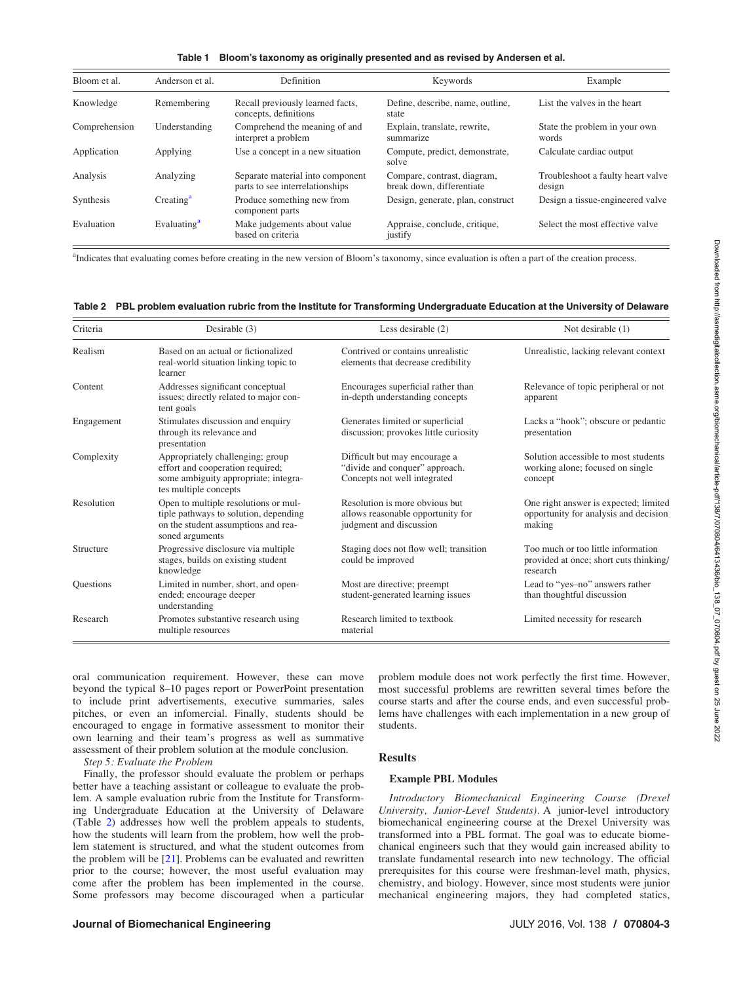#### Table 1 Bloom's taxonomy as originally presented and as revised by Andersen et al.

<span id="page-2-0"></span>

| Bloom et al.  | Anderson et al.         | Definition                                                          | Keywords                                                 | Example                                     |
|---------------|-------------------------|---------------------------------------------------------------------|----------------------------------------------------------|---------------------------------------------|
| Knowledge     | Remembering             | Recall previously learned facts,<br>concepts, definitions           | Define, describe, name, outline,<br>state                | List the valves in the heart                |
| Comprehension | Understanding           | Comprehend the meaning of and<br>interpret a problem                | Explain, translate, rewrite,<br>summarize                | State the problem in your own<br>words      |
| Application   | Applying                | Use a concept in a new situation                                    | Compute, predict, demonstrate,<br>solve                  | Calculate cardiac output                    |
| Analysis      | Analyzing               | Separate material into component<br>parts to see interrelationships | Compare, contrast, diagram,<br>break down, differentiate | Troubleshoot a faulty heart valve<br>design |
| Synthesis     | Creating <sup>a</sup>   | Produce something new from<br>component parts                       | Design, generate, plan, construct                        | Design a tissue-engineered valve            |
| Evaluation    | Evaluating <sup>a</sup> | Make judgements about value<br>based on criteria                    | Appraise, conclude, critique,<br>justify                 | Select the most effective valve             |

a Indicates that evaluating comes before creating in the new version of Bloom's taxonomy, since evaluation is often a part of the creation process.

|  | Table 2 PBL problem evaluation rubric from the Institute for Transforming Undergraduate Education at the University of Delaware |  |  |  |  |
|--|---------------------------------------------------------------------------------------------------------------------------------|--|--|--|--|
|--|---------------------------------------------------------------------------------------------------------------------------------|--|--|--|--|

| Criteria         | Desirable (3)                                                                                                                           | Less desirable $(2)$                                                                            | Not desirable $(1)$                                                                      |
|------------------|-----------------------------------------------------------------------------------------------------------------------------------------|-------------------------------------------------------------------------------------------------|------------------------------------------------------------------------------------------|
| Realism          | Based on an actual or fictionalized<br>real-world situation linking topic to<br>learner                                                 | Contrived or contains unrealistic<br>elements that decrease credibility                         | Unrealistic, lacking relevant context                                                    |
| Content          | Addresses significant conceptual<br>issues; directly related to major con-<br>tent goals                                                | Encourages superficial rather than<br>in-depth understanding concepts                           | Relevance of topic peripheral or not<br>apparent                                         |
| Engagement       | Stimulates discussion and enquiry<br>through its relevance and<br>presentation                                                          | Generates limited or superficial<br>discussion; provokes little curiosity                       | Lacks a "hook"; obscure or pedantic<br>presentation                                      |
| Complexity       | Appropriately challenging; group<br>effort and cooperation required;<br>some ambiguity appropriate; integra-<br>tes multiple concepts   | Difficult but may encourage a<br>"divide and conquer" approach.<br>Concepts not well integrated | Solution accessible to most students<br>working alone; focused on single<br>concept      |
| Resolution       | Open to multiple resolutions or mul-<br>tiple pathways to solution, depending<br>on the student assumptions and rea-<br>soned arguments | Resolution is more obvious but<br>allows reasonable opportunity for<br>judgment and discussion  | One right answer is expected; limited<br>opportunity for analysis and decision<br>making |
| Structure        | Progressive disclosure via multiple<br>stages, builds on existing student<br>knowledge                                                  | Staging does not flow well; transition<br>could be improved                                     | Too much or too little information<br>provided at once; short cuts thinking/<br>research |
| <b>Questions</b> | Limited in number, short, and open-<br>ended; encourage deeper<br>understanding                                                         | Most are directive; preempt<br>student-generated learning issues                                | Lead to "yes-no" answers rather<br>than thoughtful discussion                            |
| Research         | Promotes substantive research using<br>multiple resources                                                                               | Research limited to textbook<br>material                                                        | Limited necessity for research                                                           |

Downloaded from http://asmedigitalcollection.asme.org/biomechanical/article-pdf/138/7/070804/6413436/bio\_138\_07\_070804.pdf by guest on 25 June 2022 Downloaded from http://asmedigitalcollection.asme.org/biomechanical/article-pdf/138/7/070804/6413436/bio\_138\_07\_070804.pdf by guest on 25 June 2022

oral communication requirement. However, these can move beyond the typical 8–10 pages report or PowerPoint presentation to include print advertisements, executive summaries, sales pitches, or even an infomercial. Finally, students should be encouraged to engage in formative assessment to monitor their own learning and their team's progress as well as summative assessment of their problem solution at the module conclusion.

Step 5: Evaluate the Problem

Finally, the professor should evaluate the problem or perhaps better have a teaching assistant or colleague to evaluate the problem. A sample evaluation rubric from the Institute for Transforming Undergraduate Education at the University of Delaware (Table 2) addresses how well the problem appeals to students, how the students will learn from the problem, how well the problem statement is structured, and what the student outcomes from the problem will be [\[21](#page-8-0)]. Problems can be evaluated and rewritten prior to the course; however, the most useful evaluation may come after the problem has been implemented in the course. Some professors may become discouraged when a particular

problem module does not work perfectly the first time. However, most successful problems are rewritten several times before the course starts and after the course ends, and even successful problems have challenges with each implementation in a new group of students.

# Results

#### Example PBL Modules

Introductory Biomechanical Engineering Course (Drexel University, Junior-Level Students). A junior-level introductory biomechanical engineering course at the Drexel University was transformed into a PBL format. The goal was to educate biomechanical engineers such that they would gain increased ability to translate fundamental research into new technology. The official prerequisites for this course were freshman-level math, physics, chemistry, and biology. However, since most students were junior mechanical engineering majors, they had completed statics,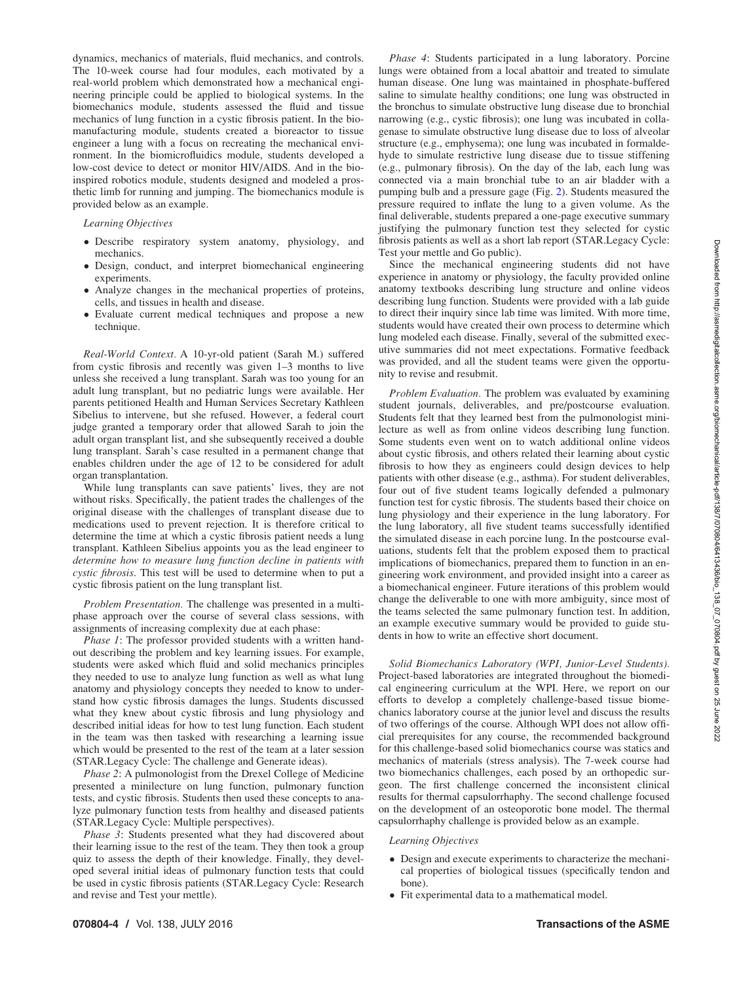Downloaded from http://asmedigitalcollection.asme.org/biomechanical/article-pdf/138/1701386/a413436/bio\_138\_07\_070804.pdf by guest on 25 June 2022 Downloaded from http://asmedigitalcollection.asme.org/biomechanical/article-pdf/138/7/070804/6413436/bio\_138\_07\_070804.pdf by guest on 25 June 2022

dynamics, mechanics of materials, fluid mechanics, and controls. The 10-week course had four modules, each motivated by a real-world problem which demonstrated how a mechanical engineering principle could be applied to biological systems. In the biomechanics module, students assessed the fluid and tissue mechanics of lung function in a cystic fibrosis patient. In the biomanufacturing module, students created a bioreactor to tissue engineer a lung with a focus on recreating the mechanical environment. In the biomicrofluidics module, students developed a low-cost device to detect or monitor HIV/AIDS. And in the bioinspired robotics module, students designed and modeled a prosthetic limb for running and jumping. The biomechanics module is provided below as an example.

#### Learning Objectives

- Describe respiratory system anatomy, physiology, and mechanics.
- Design, conduct, and interpret biomechanical engineering experiments.
- Analyze changes in the mechanical properties of proteins, cells, and tissues in health and disease.
- Evaluate current medical techniques and propose a new technique.

Real-World Context. A 10-yr-old patient (Sarah M.) suffered from cystic fibrosis and recently was given 1–3 months to live unless she received a lung transplant. Sarah was too young for an adult lung transplant, but no pediatric lungs were available. Her parents petitioned Health and Human Services Secretary Kathleen Sibelius to intervene, but she refused. However, a federal court judge granted a temporary order that allowed Sarah to join the adult organ transplant list, and she subsequently received a double lung transplant. Sarah's case resulted in a permanent change that enables children under the age of 12 to be considered for adult organ transplantation.

While lung transplants can save patients' lives, they are not without risks. Specifically, the patient trades the challenges of the original disease with the challenges of transplant disease due to medications used to prevent rejection. It is therefore critical to determine the time at which a cystic fibrosis patient needs a lung transplant. Kathleen Sibelius appoints you as the lead engineer to determine how to measure lung function decline in patients with cystic fibrosis. This test will be used to determine when to put a cystic fibrosis patient on the lung transplant list.

Problem Presentation. The challenge was presented in a multiphase approach over the course of several class sessions, with assignments of increasing complexity due at each phase:

Phase 1: The professor provided students with a written handout describing the problem and key learning issues. For example, students were asked which fluid and solid mechanics principles they needed to use to analyze lung function as well as what lung anatomy and physiology concepts they needed to know to understand how cystic fibrosis damages the lungs. Students discussed what they knew about cystic fibrosis and lung physiology and described initial ideas for how to test lung function. Each student in the team was then tasked with researching a learning issue which would be presented to the rest of the team at a later session (STAR.Legacy Cycle: The challenge and Generate ideas).

Phase 2: A pulmonologist from the Drexel College of Medicine presented a minilecture on lung function, pulmonary function tests, and cystic fibrosis. Students then used these concepts to analyze pulmonary function tests from healthy and diseased patients (STAR.Legacy Cycle: Multiple perspectives).

Phase 3: Students presented what they had discovered about their learning issue to the rest of the team. They then took a group quiz to assess the depth of their knowledge. Finally, they developed several initial ideas of pulmonary function tests that could be used in cystic fibrosis patients (STAR.Legacy Cycle: Research and revise and Test your mettle).

Phase 4: Students participated in a lung laboratory. Porcine lungs were obtained from a local abattoir and treated to simulate human disease. One lung was maintained in phosphate-buffered saline to simulate healthy conditions; one lung was obstructed in the bronchus to simulate obstructive lung disease due to bronchial narrowing (e.g., cystic fibrosis); one lung was incubated in collagenase to simulate obstructive lung disease due to loss of alveolar structure (e.g., emphysema); one lung was incubated in formaldehyde to simulate restrictive lung disease due to tissue stiffening (e.g., pulmonary fibrosis). On the day of the lab, each lung was connected via a main bronchial tube to an air bladder with a pumping bulb and a pressure gage (Fig. [2\)](#page-4-0). Students measured the pressure required to inflate the lung to a given volume. As the final deliverable, students prepared a one-page executive summary justifying the pulmonary function test they selected for cystic fibrosis patients as well as a short lab report (STAR.Legacy Cycle: Test your mettle and Go public).

Since the mechanical engineering students did not have experience in anatomy or physiology, the faculty provided online anatomy textbooks describing lung structure and online videos describing lung function. Students were provided with a lab guide to direct their inquiry since lab time was limited. With more time, students would have created their own process to determine which lung modeled each disease. Finally, several of the submitted executive summaries did not meet expectations. Formative feedback was provided, and all the student teams were given the opportunity to revise and resubmit.

Problem Evaluation. The problem was evaluated by examining student journals, deliverables, and pre/postcourse evaluation. Students felt that they learned best from the pulmonologist minilecture as well as from online videos describing lung function. Some students even went on to watch additional online videos about cystic fibrosis, and others related their learning about cystic fibrosis to how they as engineers could design devices to help patients with other disease (e.g., asthma). For student deliverables, four out of five student teams logically defended a pulmonary function test for cystic fibrosis. The students based their choice on lung physiology and their experience in the lung laboratory. For the lung laboratory, all five student teams successfully identified the simulated disease in each porcine lung. In the postcourse evaluations, students felt that the problem exposed them to practical implications of biomechanics, prepared them to function in an engineering work environment, and provided insight into a career as a biomechanical engineer. Future iterations of this problem would change the deliverable to one with more ambiguity, since most of the teams selected the same pulmonary function test. In addition, an example executive summary would be provided to guide students in how to write an effective short document.

Solid Biomechanics Laboratory (WPI, Junior-Level Students). Project-based laboratories are integrated throughout the biomedical engineering curriculum at the WPI. Here, we report on our efforts to develop a completely challenge-based tissue biomechanics laboratory course at the junior level and discuss the results of two offerings of the course. Although WPI does not allow official prerequisites for any course, the recommended background for this challenge-based solid biomechanics course was statics and mechanics of materials (stress analysis). The 7-week course had two biomechanics challenges, each posed by an orthopedic surgeon. The first challenge concerned the inconsistent clinical results for thermal capsulorrhaphy. The second challenge focused on the development of an osteoporotic bone model. The thermal capsulorrhaphy challenge is provided below as an example.

#### Learning Objectives

- Design and execute experiments to characterize the mechanical properties of biological tissues (specifically tendon and bone).
- Fit experimental data to a mathematical model.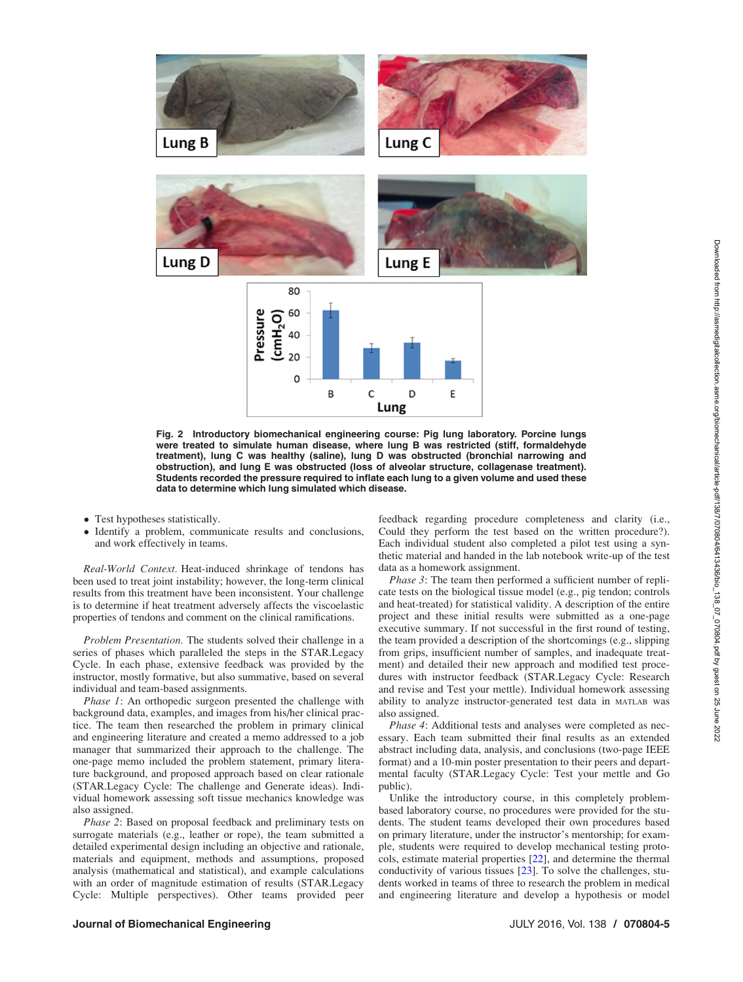<span id="page-4-0"></span>

Fig. 2 Introductory biomechanical engineering course: Pig lung laboratory. Porcine lungs were treated to simulate human disease, where lung B was restricted (stiff, formaldehyde treatment), lung C was healthy (saline), lung D was obstructed (bronchial narrowing and obstruction), and lung E was obstructed (loss of alveolar structure, collagenase treatment). Students recorded the pressure required to inflate each lung to a given volume and used these data to determine which lung simulated which disease.

- Test hypotheses statistically.
- Identify a problem, communicate results and conclusions, and work effectively in teams.

Real-World Context. Heat-induced shrinkage of tendons has been used to treat joint instability; however, the long-term clinical results from this treatment have been inconsistent. Your challenge is to determine if heat treatment adversely affects the viscoelastic properties of tendons and comment on the clinical ramifications.

Problem Presentation. The students solved their challenge in a series of phases which paralleled the steps in the STAR.Legacy Cycle. In each phase, extensive feedback was provided by the instructor, mostly formative, but also summative, based on several individual and team-based assignments.

Phase 1: An orthopedic surgeon presented the challenge with background data, examples, and images from his/her clinical practice. The team then researched the problem in primary clinical and engineering literature and created a memo addressed to a job manager that summarized their approach to the challenge. The one-page memo included the problem statement, primary literature background, and proposed approach based on clear rationale (STAR.Legacy Cycle: The challenge and Generate ideas). Individual homework assessing soft tissue mechanics knowledge was also assigned.

Phase 2: Based on proposal feedback and preliminary tests on surrogate materials (e.g., leather or rope), the team submitted a detailed experimental design including an objective and rationale, materials and equipment, methods and assumptions, proposed analysis (mathematical and statistical), and example calculations with an order of magnitude estimation of results (STAR.Legacy Cycle: Multiple perspectives). Other teams provided peer

feedback regarding procedure completeness and clarity (i.e., Could they perform the test based on the written procedure?). Each individual student also completed a pilot test using a synthetic material and handed in the lab notebook write-up of the test data as a homework assignment.

Phase 3: The team then performed a sufficient number of replicate tests on the biological tissue model (e.g., pig tendon; controls and heat-treated) for statistical validity. A description of the entire project and these initial results were submitted as a one-page executive summary. If not successful in the first round of testing, the team provided a description of the shortcomings (e.g., slipping from grips, insufficient number of samples, and inadequate treatment) and detailed their new approach and modified test procedures with instructor feedback (STAR.Legacy Cycle: Research and revise and Test your mettle). Individual homework assessing ability to analyze instructor-generated test data in MATLAB was also assigned.

Phase 4: Additional tests and analyses were completed as necessary. Each team submitted their final results as an extended abstract including data, analysis, and conclusions (two-page IEEE format) and a 10-min poster presentation to their peers and departmental faculty (STAR.Legacy Cycle: Test your mettle and Go public).

Unlike the introductory course, in this completely problembased laboratory course, no procedures were provided for the students. The student teams developed their own procedures based on primary literature, under the instructor's mentorship; for example, students were required to develop mechanical testing protocols, estimate material properties [[22\]](#page-8-0), and determine the thermal conductivity of various tissues [[23\]](#page-8-0). To solve the challenges, students worked in teams of three to research the problem in medical and engineering literature and develop a hypothesis or model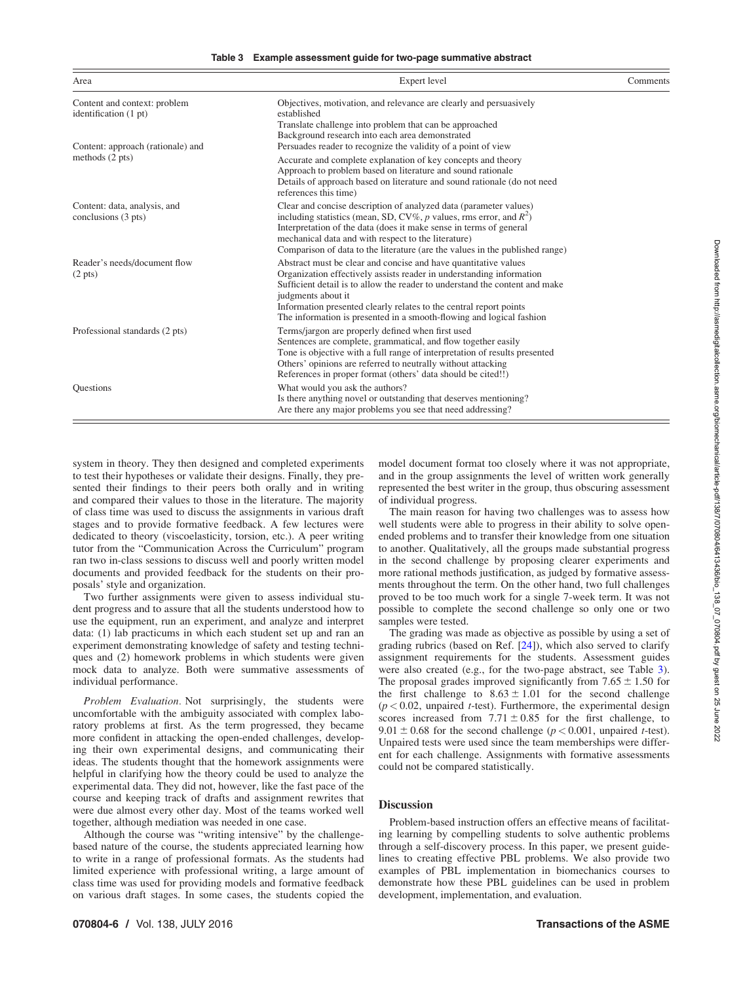|  |  | Table 3 Example assessment guide for two-page summative abstract |  |  |  |  |
|--|--|------------------------------------------------------------------|--|--|--|--|
|--|--|------------------------------------------------------------------|--|--|--|--|

| Area                                                                                       | Expert level                                                                                                                                                                                                                                                                                                                                                                               | Comments |
|--------------------------------------------------------------------------------------------|--------------------------------------------------------------------------------------------------------------------------------------------------------------------------------------------------------------------------------------------------------------------------------------------------------------------------------------------------------------------------------------------|----------|
| Content and context: problem<br>identification (1 pt)<br>Content: approach (rationale) and | Objectives, motivation, and relevance are clearly and persuasively<br>established<br>Translate challenge into problem that can be approached<br>Background research into each area demonstrated<br>Persuades reader to recognize the validity of a point of view                                                                                                                           |          |
| methods $(2 \text{ pts})$                                                                  | Accurate and complete explanation of key concepts and theory<br>Approach to problem based on literature and sound rationale<br>Details of approach based on literature and sound rationale (do not need<br>references this time)                                                                                                                                                           |          |
| Content: data, analysis, and<br>conclusions (3 pts)                                        | Clear and concise description of analyzed data (parameter values)<br>including statistics (mean, SD, CV%, p values, rms error, and $R^2$ )<br>Interpretation of the data (does it make sense in terms of general<br>mechanical data and with respect to the literature)<br>Comparison of data to the literature (are the values in the published range)                                    |          |
| Reader's needs/document flow<br>$(2 \text{ pts})$                                          | Abstract must be clear and concise and have quantitative values<br>Organization effectively assists reader in understanding information<br>Sufficient detail is to allow the reader to understand the content and make<br>judgments about it<br>Information presented clearly relates to the central report points<br>The information is presented in a smooth-flowing and logical fashion |          |
| Professional standards (2 pts)                                                             | Terms/jargon are properly defined when first used<br>Sentences are complete, grammatical, and flow together easily<br>Tone is objective with a full range of interpretation of results presented<br>Others' opinions are referred to neutrally without attacking<br>References in proper format (others' data should be cited!!)                                                           |          |
| <b>Questions</b>                                                                           | What would you ask the authors?<br>Is there anything novel or outstanding that deserves mentioning?<br>Are there any major problems you see that need addressing?                                                                                                                                                                                                                          |          |

system in theory. They then designed and completed experiments to test their hypotheses or validate their designs. Finally, they presented their findings to their peers both orally and in writing and compared their values to those in the literature. The majority of class time was used to discuss the assignments in various draft stages and to provide formative feedback. A few lectures were dedicated to theory (viscoelasticity, torsion, etc.). A peer writing tutor from the "Communication Across the Curriculum" program ran two in-class sessions to discuss well and poorly written model documents and provided feedback for the students on their proposals' style and organization.

Two further assignments were given to assess individual student progress and to assure that all the students understood how to use the equipment, run an experiment, and analyze and interpret data: (1) lab practicums in which each student set up and ran an experiment demonstrating knowledge of safety and testing techniques and (2) homework problems in which students were given mock data to analyze. Both were summative assessments of individual performance.

Problem Evaluation. Not surprisingly, the students were uncomfortable with the ambiguity associated with complex laboratory problems at first. As the term progressed, they became more confident in attacking the open-ended challenges, developing their own experimental designs, and communicating their ideas. The students thought that the homework assignments were helpful in clarifying how the theory could be used to analyze the experimental data. They did not, however, like the fast pace of the course and keeping track of drafts and assignment rewrites that were due almost every other day. Most of the teams worked well together, although mediation was needed in one case.

Although the course was "writing intensive" by the challengebased nature of the course, the students appreciated learning how to write in a range of professional formats. As the students had limited experience with professional writing, a large amount of class time was used for providing models and formative feedback on various draft stages. In some cases, the students copied the

model document format too closely where it was not appropriate, and in the group assignments the level of written work generally represented the best writer in the group, thus obscuring assessment of individual progress.

The main reason for having two challenges was to assess how well students were able to progress in their ability to solve openended problems and to transfer their knowledge from one situation to another. Qualitatively, all the groups made substantial progress in the second challenge by proposing clearer experiments and more rational methods justification, as judged by formative assessments throughout the term. On the other hand, two full challenges proved to be too much work for a single 7-week term. It was not possible to complete the second challenge so only one or two samples were tested.

The grading was made as objective as possible by using a set of grading rubrics (based on Ref. [[24\]](#page-8-0)), which also served to clarify assignment requirements for the students. Assessment guides were also created (e.g., for the two-page abstract, see Table 3). The proposal grades improved significantly from  $7.65 \pm 1.50$  for the first challenge to  $8.63 \pm 1.01$  for the second challenge  $(p < 0.02$ , unpaired *t*-test). Furthermore, the experimental design scores increased from  $7.71 \pm 0.85$  for the first challenge, to  $9.01 \pm 0.68$  for the second challenge ( $p < 0.001$ , unpaired t-test). Unpaired tests were used since the team memberships were different for each challenge. Assignments with formative assessments could not be compared statistically.

## **Discussion**

Problem-based instruction offers an effective means of facilitating learning by compelling students to solve authentic problems through a self-discovery process. In this paper, we present guidelines to creating effective PBL problems. We also provide two examples of PBL implementation in biomechanics courses to demonstrate how these PBL guidelines can be used in problem development, implementation, and evaluation.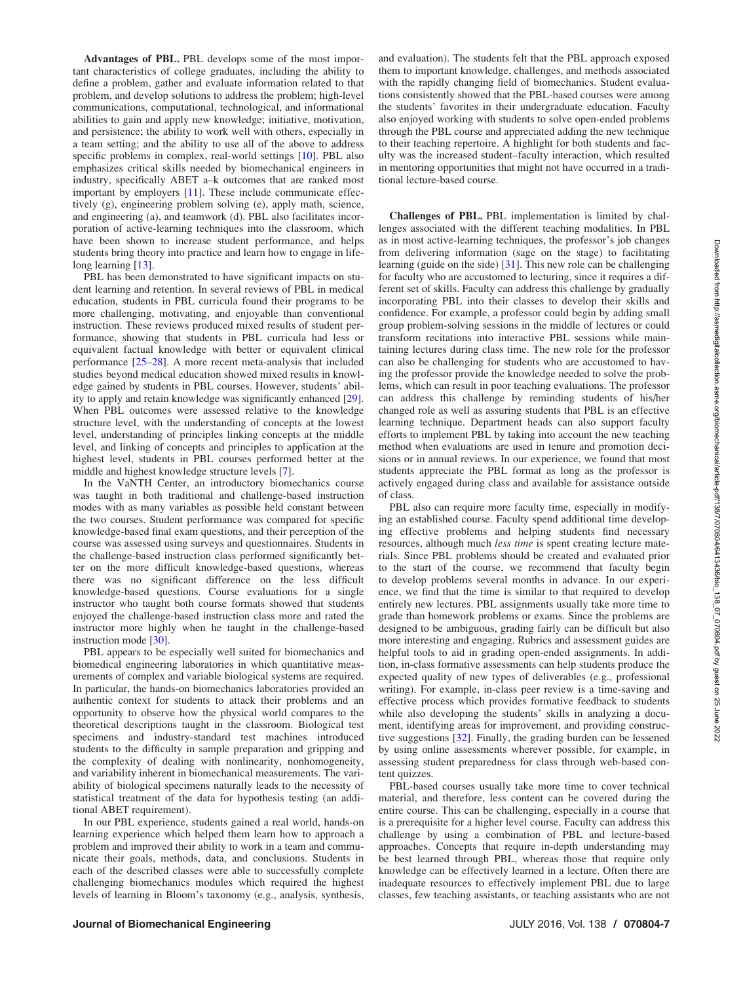Advantages of PBL. PBL develops some of the most important characteristics of college graduates, including the ability to define a problem, gather and evaluate information related to that problem, and develop solutions to address the problem; high-level communications, computational, technological, and informational abilities to gain and apply new knowledge; initiative, motivation, and persistence; the ability to work well with others, especially in a team setting; and the ability to use all of the above to address specific problems in complex, real-world settings [\[10](#page-8-0)]. PBL also emphasizes critical skills needed by biomechanical engineers in industry, specifically ABET a–k outcomes that are ranked most important by employers [[11\]](#page-8-0). These include communicate effectively (g), engineering problem solving (e), apply math, science, and engineering (a), and teamwork (d). PBL also facilitates incorporation of active-learning techniques into the classroom, which have been shown to increase student performance, and helps students bring theory into practice and learn how to engage in life-long learning [\[13](#page-8-0)].

PBL has been demonstrated to have significant impacts on student learning and retention. In several reviews of PBL in medical education, students in PBL curricula found their programs to be more challenging, motivating, and enjoyable than conventional instruction. These reviews produced mixed results of student performance, showing that students in PBL curricula had less or equivalent factual knowledge with better or equivalent clinical performance [[25–28](#page-8-0)]. A more recent meta-analysis that included studies beyond medical education showed mixed results in knowledge gained by students in PBL courses. However, students' ability to apply and retain knowledge was significantly enhanced [[29\]](#page-8-0). When PBL outcomes were assessed relative to the knowledge structure level, with the understanding of concepts at the lowest level, understanding of principles linking concepts at the middle level, and linking of concepts and principles to application at the highest level, students in PBL courses performed better at the middle and highest knowledge structure levels [[7](#page-8-0)].

In the VaNTH Center, an introductory biomechanics course was taught in both traditional and challenge-based instruction modes with as many variables as possible held constant between the two courses. Student performance was compared for specific knowledge-based final exam questions, and their perception of the course was assessed using surveys and questionnaires. Students in the challenge-based instruction class performed significantly better on the more difficult knowledge-based questions, whereas there was no significant difference on the less difficult knowledge-based questions. Course evaluations for a single instructor who taught both course formats showed that students enjoyed the challenge-based instruction class more and rated the instructor more highly when he taught in the challenge-based instruction mode [\[30](#page-8-0)].

PBL appears to be especially well suited for biomechanics and biomedical engineering laboratories in which quantitative measurements of complex and variable biological systems are required. In particular, the hands-on biomechanics laboratories provided an authentic context for students to attack their problems and an opportunity to observe how the physical world compares to the theoretical descriptions taught in the classroom. Biological test specimens and industry-standard test machines introduced students to the difficulty in sample preparation and gripping and the complexity of dealing with nonlinearity, nonhomogeneity, and variability inherent in biomechanical measurements. The variability of biological specimens naturally leads to the necessity of statistical treatment of the data for hypothesis testing (an additional ABET requirement).

In our PBL experience, students gained a real world, hands-on learning experience which helped them learn how to approach a problem and improved their ability to work in a team and communicate their goals, methods, data, and conclusions. Students in each of the described classes were able to successfully complete challenging biomechanics modules which required the highest levels of learning in Bloom's taxonomy (e.g., analysis, synthesis,

and evaluation). The students felt that the PBL approach exposed them to important knowledge, challenges, and methods associated with the rapidly changing field of biomechanics. Student evaluations consistently showed that the PBL-based courses were among the students' favorites in their undergraduate education. Faculty also enjoyed working with students to solve open-ended problems through the PBL course and appreciated adding the new technique to their teaching repertoire. A highlight for both students and faculty was the increased student–faculty interaction, which resulted in mentoring opportunities that might not have occurred in a traditional lecture-based course.

Challenges of PBL. PBL implementation is limited by challenges associated with the different teaching modalities. In PBL as in most active-learning techniques, the professor's job changes from delivering information (sage on the stage) to facilitating learning (guide on the side) [\[31](#page-8-0)]. This new role can be challenging for faculty who are accustomed to lecturing, since it requires a different set of skills. Faculty can address this challenge by gradually incorporating PBL into their classes to develop their skills and confidence. For example, a professor could begin by adding small group problem-solving sessions in the middle of lectures or could transform recitations into interactive PBL sessions while maintaining lectures during class time. The new role for the professor can also be challenging for students who are accustomed to having the professor provide the knowledge needed to solve the problems, which can result in poor teaching evaluations. The professor can address this challenge by reminding students of his/her changed role as well as assuring students that PBL is an effective learning technique. Department heads can also support faculty efforts to implement PBL by taking into account the new teaching method when evaluations are used in tenure and promotion decisions or in annual reviews. In our experience, we found that most students appreciate the PBL format as long as the professor is actively engaged during class and available for assistance outside of class.

PBL also can require more faculty time, especially in modifying an established course. Faculty spend additional time developing effective problems and helping students find necessary resources, although much less time is spent creating lecture materials. Since PBL problems should be created and evaluated prior to the start of the course, we recommend that faculty begin to develop problems several months in advance. In our experience, we find that the time is similar to that required to develop entirely new lectures. PBL assignments usually take more time to grade than homework problems or exams. Since the problems are designed to be ambiguous, grading fairly can be difficult but also more interesting and engaging. Rubrics and assessment guides are helpful tools to aid in grading open-ended assignments. In addition, in-class formative assessments can help students produce the expected quality of new types of deliverables (e.g., professional writing). For example, in-class peer review is a time-saving and effective process which provides formative feedback to students while also developing the students' skills in analyzing a document, identifying areas for improvement, and providing constructive suggestions [[32\]](#page-8-0). Finally, the grading burden can be lessened by using online assessments wherever possible, for example, in assessing student preparedness for class through web-based content quizzes.

PBL-based courses usually take more time to cover technical material, and therefore, less content can be covered during the entire course. This can be challenging, especially in a course that is a prerequisite for a higher level course. Faculty can address this challenge by using a combination of PBL and lecture-based approaches. Concepts that require in-depth understanding may be best learned through PBL, whereas those that require only knowledge can be effectively learned in a lecture. Often there are inadequate resources to effectively implement PBL due to large classes, few teaching assistants, or teaching assistants who are not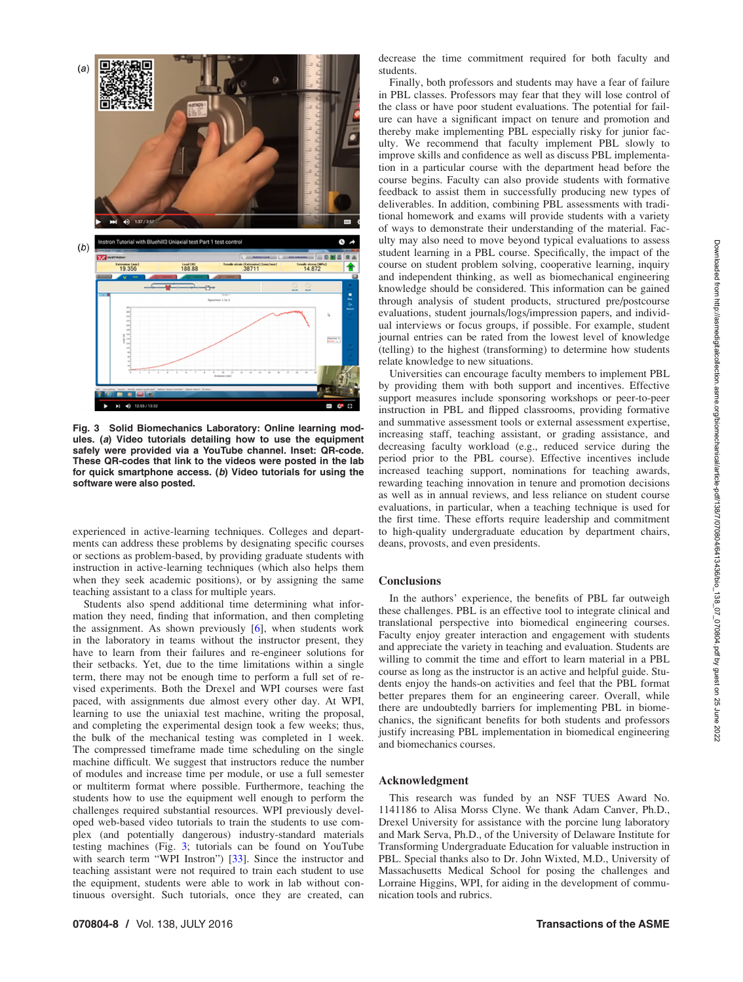

Fig. 3 Solid Biomechanics Laboratory: Online learning modules. (a) Video tutorials detailing how to use the equipment safely were provided via a YouTube channel. Inset: QR-code. These QR-codes that link to the videos were posted in the lab for quick smartphone access.  $(b)$  Video tutorials for using the software were also posted.

experienced in active-learning techniques. Colleges and departments can address these problems by designating specific courses or sections as problem-based, by providing graduate students with instruction in active-learning techniques (which also helps them when they seek academic positions), or by assigning the same teaching assistant to a class for multiple years.

Students also spend additional time determining what information they need, finding that information, and then completing the assignment. As shown previously [[6](#page-8-0)], when students work in the laboratory in teams without the instructor present, they have to learn from their failures and re-engineer solutions for their setbacks. Yet, due to the time limitations within a single term, there may not be enough time to perform a full set of revised experiments. Both the Drexel and WPI courses were fast paced, with assignments due almost every other day. At WPI, learning to use the uniaxial test machine, writing the proposal, and completing the experimental design took a few weeks; thus, the bulk of the mechanical testing was completed in 1 week. The compressed timeframe made time scheduling on the single machine difficult. We suggest that instructors reduce the number of modules and increase time per module, or use a full semester or multiterm format where possible. Furthermore, teaching the students how to use the equipment well enough to perform the challenges required substantial resources. WPI previously developed web-based video tutorials to train the students to use complex (and potentially dangerous) industry-standard materials testing machines (Fig. 3; tutorials can be found on YouTube with search term "WPI Instron") [\[33](#page-8-0)]. Since the instructor and teaching assistant were not required to train each student to use the equipment, students were able to work in lab without continuous oversight. Such tutorials, once they are created, can

decrease the time commitment required for both faculty and students.

Finally, both professors and students may have a fear of failure in PBL classes. Professors may fear that they will lose control of the class or have poor student evaluations. The potential for failure can have a significant impact on tenure and promotion and thereby make implementing PBL especially risky for junior faculty. We recommend that faculty implement PBL slowly to improve skills and confidence as well as discuss PBL implementation in a particular course with the department head before the course begins. Faculty can also provide students with formative feedback to assist them in successfully producing new types of deliverables. In addition, combining PBL assessments with traditional homework and exams will provide students with a variety of ways to demonstrate their understanding of the material. Faculty may also need to move beyond typical evaluations to assess student learning in a PBL course. Specifically, the impact of the course on student problem solving, cooperative learning, inquiry and independent thinking, as well as biomechanical engineering knowledge should be considered. This information can be gained through analysis of student products, structured pre/postcourse evaluations, student journals/logs/impression papers, and individual interviews or focus groups, if possible. For example, student journal entries can be rated from the lowest level of knowledge (telling) to the highest (transforming) to determine how students relate knowledge to new situations.

Universities can encourage faculty members to implement PBL by providing them with both support and incentives. Effective support measures include sponsoring workshops or peer-to-peer instruction in PBL and flipped classrooms, providing formative and summative assessment tools or external assessment expertise, increasing staff, teaching assistant, or grading assistance, and decreasing faculty workload (e.g., reduced service during the period prior to the PBL course). Effective incentives include increased teaching support, nominations for teaching awards, rewarding teaching innovation in tenure and promotion decisions as well as in annual reviews, and less reliance on student course evaluations, in particular, when a teaching technique is used for the first time. These efforts require leadership and commitment to high-quality undergraduate education by department chairs, deans, provosts, and even presidents.

#### **Conclusions**

In the authors' experience, the benefits of PBL far outweigh these challenges. PBL is an effective tool to integrate clinical and translational perspective into biomedical engineering courses. Faculty enjoy greater interaction and engagement with students and appreciate the variety in teaching and evaluation. Students are willing to commit the time and effort to learn material in a PBL course as long as the instructor is an active and helpful guide. Students enjoy the hands-on activities and feel that the PBL format better prepares them for an engineering career. Overall, while there are undoubtedly barriers for implementing PBL in biomechanics, the significant benefits for both students and professors justify increasing PBL implementation in biomedical engineering and biomechanics courses.

### Acknowledgment

This research was funded by an NSF TUES Award No. 1141186 to Alisa Morss Clyne. We thank Adam Canver, Ph.D., Drexel University for assistance with the porcine lung laboratory and Mark Serva, Ph.D., of the University of Delaware Institute for Transforming Undergraduate Education for valuable instruction in PBL. Special thanks also to Dr. John Wixted, M.D., University of Massachusetts Medical School for posing the challenges and Lorraine Higgins, WPI, for aiding in the development of communication tools and rubrics.